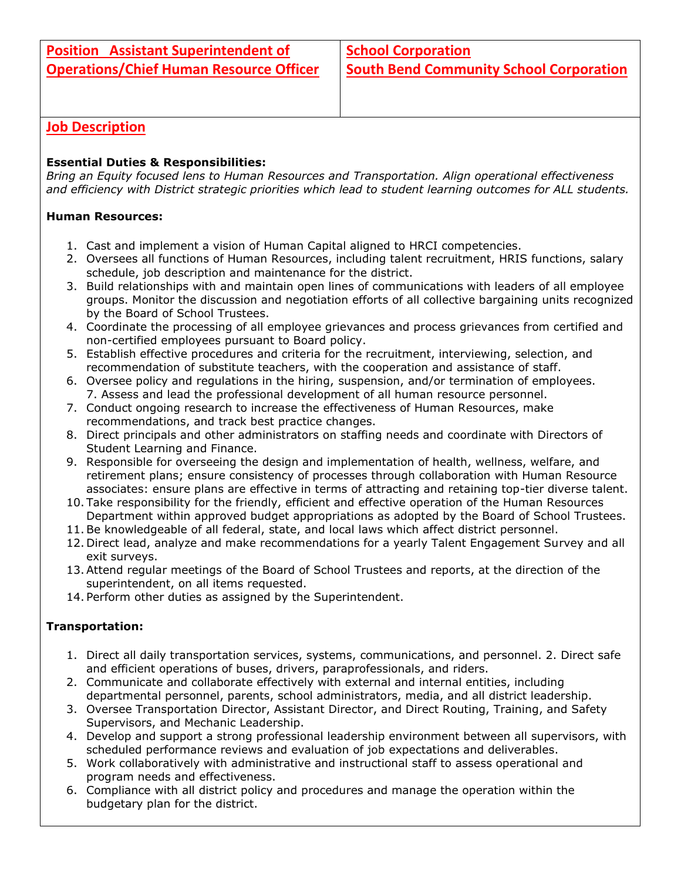# **Job Description**

## **Essential Duties & Responsibilities:**

*Bring an Equity focused lens to Human Resources and Transportation. Align operational effectiveness and efficiency with District strategic priorities which lead to student learning outcomes for ALL students.*

## **Human Resources:**

- 1. Cast and implement a vision of Human Capital aligned to HRCI competencies.
- 2. Oversees all functions of Human Resources, including talent recruitment, HRIS functions, salary schedule, job description and maintenance for the district.
- 3. Build relationships with and maintain open lines of communications with leaders of all employee groups. Monitor the discussion and negotiation efforts of all collective bargaining units recognized by the Board of School Trustees.
- 4. Coordinate the processing of all employee grievances and process grievances from certified and non-certified employees pursuant to Board policy.
- 5. Establish effective procedures and criteria for the recruitment, interviewing, selection, and recommendation of substitute teachers, with the cooperation and assistance of staff.
- 6. Oversee policy and regulations in the hiring, suspension, and/or termination of employees. 7. Assess and lead the professional development of all human resource personnel.
- 7. Conduct ongoing research to increase the effectiveness of Human Resources, make recommendations, and track best practice changes.
- 8. Direct principals and other administrators on staffing needs and coordinate with Directors of Student Learning and Finance.
- 9. Responsible for overseeing the design and implementation of health, wellness, welfare, and retirement plans; ensure consistency of processes through collaboration with Human Resource associates: ensure plans are effective in terms of attracting and retaining top-tier diverse talent.
- 10. Take responsibility for the friendly, efficient and effective operation of the Human Resources Department within approved budget appropriations as adopted by the Board of School Trustees.
- 11.Be knowledgeable of all federal, state, and local laws which affect district personnel.
- 12. Direct lead, analyze and make recommendations for a yearly Talent Engagement Survey and all exit surveys.
- 13.Attend regular meetings of the Board of School Trustees and reports, at the direction of the superintendent, on all items requested.
- 14. Perform other duties as assigned by the Superintendent.

### **Transportation:**

- 1. Direct all daily transportation services, systems, communications, and personnel. 2. Direct safe and efficient operations of buses, drivers, paraprofessionals, and riders.
- 2. Communicate and collaborate effectively with external and internal entities, including departmental personnel, parents, school administrators, media, and all district leadership.
- 3. Oversee Transportation Director, Assistant Director, and Direct Routing, Training, and Safety Supervisors, and Mechanic Leadership.
- 4. Develop and support a strong professional leadership environment between all supervisors, with scheduled performance reviews and evaluation of job expectations and deliverables.
- 5. Work collaboratively with administrative and instructional staff to assess operational and program needs and effectiveness.
- 6. Compliance with all district policy and procedures and manage the operation within the budgetary plan for the district.